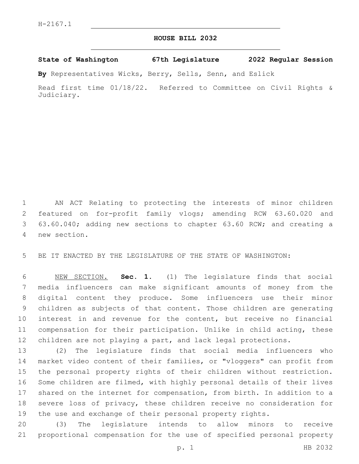## **HOUSE BILL 2032**

**State of Washington 67th Legislature 2022 Regular Session**

**By** Representatives Wicks, Berry, Sells, Senn, and Eslick

Read first time 01/18/22. Referred to Committee on Civil Rights & Judiciary.

 AN ACT Relating to protecting the interests of minor children featured on for-profit family vlogs; amending RCW 63.60.020 and 63.60.040; adding new sections to chapter 63.60 RCW; and creating a new section.4

BE IT ENACTED BY THE LEGISLATURE OF THE STATE OF WASHINGTON:

 NEW SECTION. **Sec. 1.** (1) The legislature finds that social media influencers can make significant amounts of money from the digital content they produce. Some influencers use their minor children as subjects of that content. Those children are generating interest in and revenue for the content, but receive no financial compensation for their participation. Unlike in child acting, these children are not playing a part, and lack legal protections.

 (2) The legislature finds that social media influencers who market video content of their families, or "vloggers" can profit from the personal property rights of their children without restriction. Some children are filmed, with highly personal details of their lives shared on the internet for compensation, from birth. In addition to a severe loss of privacy, these children receive no consideration for the use and exchange of their personal property rights.

 (3) The legislature intends to allow minors to receive proportional compensation for the use of specified personal property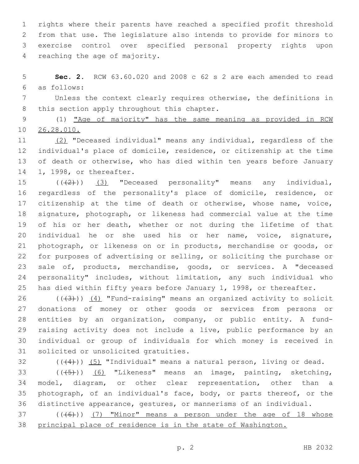rights where their parents have reached a specified profit threshold from that use. The legislature also intends to provide for minors to exercise control over specified personal property rights upon 4 reaching the age of majority.

 **Sec. 2.** RCW 63.60.020 and 2008 c 62 s 2 are each amended to read as follows:6

 Unless the context clearly requires otherwise, the definitions in 8 this section apply throughout this chapter.

 (1) "Age of majority" has the same meaning as provided in RCW 26.28.010.

 (2) "Deceased individual" means any individual, regardless of the individual's place of domicile, residence, or citizenship at the time of death or otherwise, who has died within ten years before January 14 1, 1998, or thereafter.

 $((+2+))$   $(3)$  "Deceased personality" means any individual, regardless of the personality's place of domicile, residence, or 17 citizenship at the time of death or otherwise, whose name, voice, signature, photograph, or likeness had commercial value at the time of his or her death, whether or not during the lifetime of that individual he or she used his or her name, voice, signature, photograph, or likeness on or in products, merchandise or goods, or for purposes of advertising or selling, or soliciting the purchase or sale of, products, merchandise, goods, or services. A "deceased personality" includes, without limitation, any such individual who has died within fifty years before January 1, 1998, or thereafter.

 $((+3))$   $(4)$  "Fund-raising" means an organized activity to solicit donations of money or other goods or services from persons or entities by an organization, company, or public entity. A fund-29 raising activity does not include a live, public performance by an individual or group of individuals for which money is received in 31 solicited or unsolicited gratuities.

 $(1)(4)$ ) (5) "Individual" means a natural person, living or dead.

33 (((5)) (6) "Likeness" means an image, painting, sketching, model, diagram, or other clear representation, other than a photograph, of an individual's face, body, or parts thereof, or the distinctive appearance, gestures, or mannerisms of an individual.

 ( $(\overline{6})$ ) (7) "Minor" means a person under the age of 18 whose principal place of residence is in the state of Washington.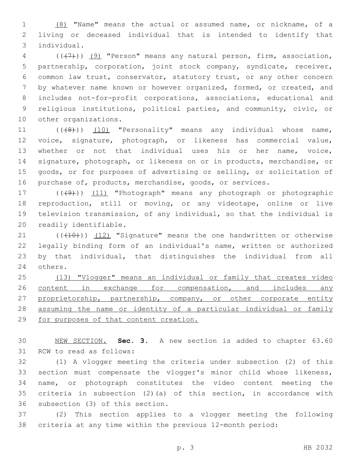(8) "Name" means the actual or assumed name, or nickname, of a living or deceased individual that is intended to identify that individual.3

 ( $(\overline{+7})$ ) (9) "Person" means any natural person, firm, association, partnership, corporation, joint stock company, syndicate, receiver, common law trust, conservator, statutory trust, or any other concern by whatever name known or however organized, formed, or created, and includes not-for-profit corporations, associations, educational and religious institutions, political parties, and community, civic, or 10 other organizations.

11 (((8))) (10) "Personality" means any individual whose name, voice, signature, photograph, or likeness has commercial value, whether or not that individual uses his or her name, voice, signature, photograph, or likeness on or in products, merchandise, or goods, or for purposes of advertising or selling, or solicitation of purchase of, products, merchandise, goods, or services.

17 (((49)) (11) "Photograph" means any photograph or photographic reproduction, still or moving, or any videotape, online or live television transmission, of any individual, so that the individual is 20 readily identifiable.

 $(1)$  ( $(10)$ ))  $(12)$  "Signature" means the one handwritten or otherwise legally binding form of an individual's name, written or authorized by that individual, that distinguishes the individual from all 24 others.

 (13) "Vlogger" means an individual or family that creates video 26 content in exchange for compensation, and includes any 27 proprietorship, partnership, company, or other corporate entity 28 assuming the name or identity of a particular individual or family for purposes of that content creation.

 NEW SECTION. **Sec. 3.** A new section is added to chapter 63.60 31 RCW to read as follows:

 (1) A vlogger meeting the criteria under subsection (2) of this section must compensate the vlogger's minor child whose likeness, name, or photograph constitutes the video content meeting the criteria in subsection (2)(a) of this section, in accordance with 36 subsection (3) of this section.

 (2) This section applies to a vlogger meeting the following criteria at any time within the previous 12-month period: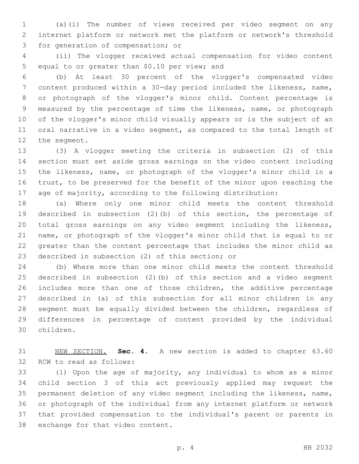(a)(i) The number of views received per video segment on any internet platform or network met the platform or network's threshold 3 for generation of compensation; or

 (ii) The vlogger received actual compensation for video content 5 equal to or greater than \$0.10 per view; and

 (b) At least 30 percent of the vlogger's compensated video content produced within a 30-day period included the likeness, name, or photograph of the vlogger's minor child. Content percentage is measured by the percentage of time the likeness, name, or photograph of the vlogger's minor child visually appears or is the subject of an oral narrative in a video segment, as compared to the total length of 12 the segment.

 (3) A vlogger meeting the criteria in subsection (2) of this section must set aside gross earnings on the video content including the likeness, name, or photograph of the vlogger's minor child in a trust, to be preserved for the benefit of the minor upon reaching the age of majority, according to the following distribution:

 (a) Where only one minor child meets the content threshold described in subsection (2)(b) of this section, the percentage of total gross earnings on any video segment including the likeness, name, or photograph of the vlogger's minor child that is equal to or greater than the content percentage that includes the minor child as 23 described in subsection (2) of this section; or

 (b) Where more than one minor child meets the content threshold described in subsection (2)(b) of this section and a video segment includes more than one of those children, the additive percentage described in (a) of this subsection for all minor children in any segment must be equally divided between the children, regardless of differences in percentage of content provided by the individual children.30

 NEW SECTION. **Sec. 4.** A new section is added to chapter 63.60 32 RCW to read as follows:

 (1) Upon the age of majority, any individual to whom as a minor child section 3 of this act previously applied may request the permanent deletion of any video segment including the likeness, name, or photograph of the individual from any internet platform or network that provided compensation to the individual's parent or parents in 38 exchange for that video content.